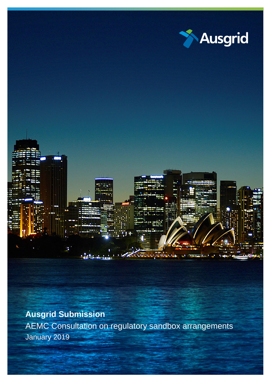

**Ausgrid Submission**

AEMC Consultation on regulatory sandbox arrangements January 2019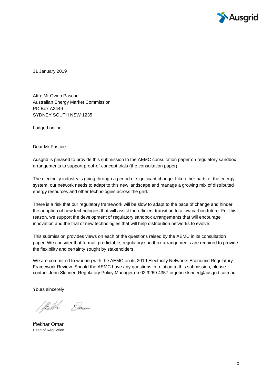

31 January 2019

Attn: Mr Owen Pascoe Australian Energy Market Commission PO Box A2449 SYDNEY SOUTH NSW 1235

Lodged online

Dear Mr Pascoe

Ausgrid is pleased to provide this submission to the AEMC consultation paper on regulatory sandbox arrangements to support proof-of-concept trials (the consultation paper).

The electricity industry is going through a period of significant change. Like other parts of the energy system, our network needs to adapt to this new landscape and manage a growing mix of distributed energy resources and other technologies across the grid.

There is a risk that our regulatory framework will be slow to adapt to the pace of change and hinder the adoption of new technologies that will assist the efficient transition to a low carbon future. For this reason, we support the development of regulatory sandbox arrangements that will encourage innovation and the trial of new technologies that will help distribution networks to evolve.

This submission provides views on each of the questions raised by the AEMC in its consultation paper. We consider that formal, predictable, regulatory sandbox arrangements are required to provide the flexibility and certainty sought by stakeholders.

We are committed to working with the AEMC on its 2019 Electricity Networks Economic Regulatory Framework Review. Should the AEMC have any questions in relation to this submission, please contact John Skinner, Regulatory Policy Manager on 02 9269 4357 or john.skinner@ausgrid.com.au.

Yours sincerely

Stelet Eme

Iftekhar Omar Head of Regulation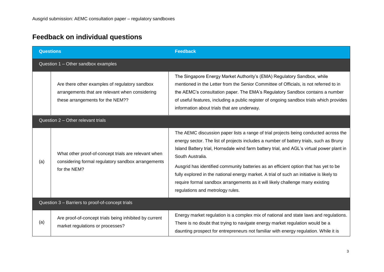## **Feedback on individual questions**

| <b>Questions</b>                                 |                                                                                                                                       | <b>Feedback</b>                                                                                                                                                                                                                                                                                                                                                                                                                                                                                                                                                                                          |
|--------------------------------------------------|---------------------------------------------------------------------------------------------------------------------------------------|----------------------------------------------------------------------------------------------------------------------------------------------------------------------------------------------------------------------------------------------------------------------------------------------------------------------------------------------------------------------------------------------------------------------------------------------------------------------------------------------------------------------------------------------------------------------------------------------------------|
| Question 1 - Other sandbox examples              |                                                                                                                                       |                                                                                                                                                                                                                                                                                                                                                                                                                                                                                                                                                                                                          |
|                                                  | Are there other examples of regulatory sandbox<br>arrangements that are relevant when considering<br>these arrangements for the NEM?? | The Singapore Energy Market Authority's (EMA) Regulatory Sandbox, while<br>mentioned in the Letter from the Senior Committee of Officials, is not referred to in<br>the AEMC's consultation paper. The EMA's Regulatory Sandbox contains a number<br>of useful features, including a public register of ongoing sandbox trials which provides<br>information about trials that are underway.                                                                                                                                                                                                             |
| Question 2 - Other relevant trials               |                                                                                                                                       |                                                                                                                                                                                                                                                                                                                                                                                                                                                                                                                                                                                                          |
| (a)                                              | What other proof-of-concept trials are relevant when<br>considering formal regulatory sandbox arrangements<br>for the NEM?            | The AEMC discussion paper lists a range of trial projects being conducted across the<br>energy sector. The list of projects includes a number of battery trials, such as Bruny<br>Island Battery trial, Hornsdale wind farm battery trial, and AGL's virtual power plant in<br>South Australia.<br>Ausgrid has identified community batteries as an efficient option that has yet to be<br>fully explored in the national energy market. A trial of such an initiative is likely to<br>require formal sandbox arrangements as it will likely challenge many existing<br>regulations and metrology rules. |
| Question 3 - Barriers to proof-of-concept trials |                                                                                                                                       |                                                                                                                                                                                                                                                                                                                                                                                                                                                                                                                                                                                                          |
| (a)                                              | Are proof-of-concept trials being inhibited by current<br>market regulations or processes?                                            | Energy market regulation is a complex mix of national and state laws and regulations.<br>There is no doubt that trying to navigate energy market regulation would be a<br>daunting prospect for entrepreneurs not familiar with energy regulation. While it is                                                                                                                                                                                                                                                                                                                                           |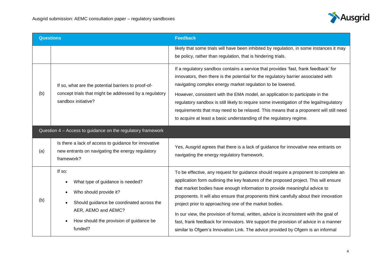

| <b>Questions</b>                                            |                                                                                                                                                                                                | <b>Feedback</b>                                                                                                                                                                                                                                                                                                                                                                                                                                                                                                                                                                                                                                                                    |
|-------------------------------------------------------------|------------------------------------------------------------------------------------------------------------------------------------------------------------------------------------------------|------------------------------------------------------------------------------------------------------------------------------------------------------------------------------------------------------------------------------------------------------------------------------------------------------------------------------------------------------------------------------------------------------------------------------------------------------------------------------------------------------------------------------------------------------------------------------------------------------------------------------------------------------------------------------------|
|                                                             |                                                                                                                                                                                                | likely that some trials will have been inhibited by regulation, in some instances it may<br>be policy, rather than regulation, that is hindering trials.                                                                                                                                                                                                                                                                                                                                                                                                                                                                                                                           |
| (b)                                                         | If so, what are the potential barriers to proof-of-<br>concept trials that might be addressed by a regulatory<br>sandbox initiative?                                                           | If a regulatory sandbox contains a service that provides 'fast, frank feedback' for<br>innovators, then there is the potential for the regulatory barrier associated with<br>navigating complex energy market regulation to be lowered.<br>However, consistent with the EMA model, an application to participate in the<br>regulatory sandbox is still likely to require some investigation of the legal/regulatory<br>requirements that may need to be relaxed. This means that a proponent will still need<br>to acquire at least a basic understanding of the regulatory regime.                                                                                                |
| Question 4 - Access to guidance on the regulatory framework |                                                                                                                                                                                                |                                                                                                                                                                                                                                                                                                                                                                                                                                                                                                                                                                                                                                                                                    |
| (a)                                                         | Is there a lack of access to guidance for innovative<br>new entrants on navigating the energy regulatory<br>framework?                                                                         | Yes, Ausgrid agrees that there is a lack of guidance for innovative new entrants on<br>navigating the energy regulatory framework.                                                                                                                                                                                                                                                                                                                                                                                                                                                                                                                                                 |
| (b)                                                         | If so:<br>What type of guidance is needed?<br>Who should provide it?<br>Should guidance be coordinated across the<br>AER, AEMO and AEMC?<br>How should the provision of guidance be<br>funded? | To be effective, any request for guidance should require a proponent to complete an<br>application form outlining the key features of the proposed project. This will ensure<br>that market bodies have enough information to provide meaningful advice to<br>proponents. It will also ensure that proponents think carefully about their innovation<br>project prior to approaching one of the market bodies.<br>In our view, the provision of formal, written, advice is inconsistent with the goal of<br>fast, frank feedback for innovators. We support the provision of advice in a manner<br>similar to Ofgem's Innovation Link. The advice provided by Ofgem is an informal |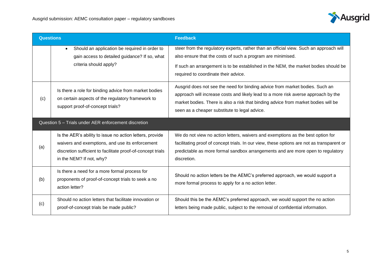

| <b>Questions</b>                                     |                                                                                                                                                                                                        | <b>Feedback</b>                                                                                                                                                                                                                                                                                           |
|------------------------------------------------------|--------------------------------------------------------------------------------------------------------------------------------------------------------------------------------------------------------|-----------------------------------------------------------------------------------------------------------------------------------------------------------------------------------------------------------------------------------------------------------------------------------------------------------|
|                                                      | Should an application be required in order to<br>$\bullet$<br>gain access to detailed guidance? If so, what<br>criteria should apply?                                                                  | steer from the regulatory experts, rather than an official view. Such an approach will<br>also ensure that the costs of such a program are minimised.<br>If such an arrangement is to be established in the NEM, the market bodies should be<br>required to coordinate their advice.                      |
| (c)                                                  | Is there a role for binding advice from market bodies<br>on certain aspects of the regulatory framework to<br>support proof-of-concept trials?                                                         | Ausgrid does not see the need for binding advice from market bodies. Such an<br>approach will increase costs and likely lead to a more risk averse approach by the<br>market bodies. There is also a risk that binding advice from market bodies will be<br>seen as a cheaper substitute to legal advice. |
| Question 5 - Trials under AER enforcement discretion |                                                                                                                                                                                                        |                                                                                                                                                                                                                                                                                                           |
| (a)                                                  | Is the AER's ability to issue no action letters, provide<br>waivers and exemptions, and use its enforcement<br>discretion sufficient to facilitate proof-of-concept trials<br>in the NEM? If not, why? | We do not view no action letters, waivers and exemptions as the best option for<br>facilitating proof of concept trials. In our view, these options are not as transparent or<br>predictable as more formal sandbox arrangements and are more open to regulatory<br>discretion.                           |
| (b)                                                  | Is there a need for a more formal process for<br>proponents of proof-of-concept trials to seek a no<br>action letter?                                                                                  | Should no action letters be the AEMC's preferred approach, we would support a<br>more formal process to apply for a no action letter.                                                                                                                                                                     |
| (c)                                                  | Should no action letters that facilitate innovation or<br>proof-of-concept trials be made public?                                                                                                      | Should this be the AEMC's preferred approach, we would support the no action<br>letters being made public, subject to the removal of confidential information.                                                                                                                                            |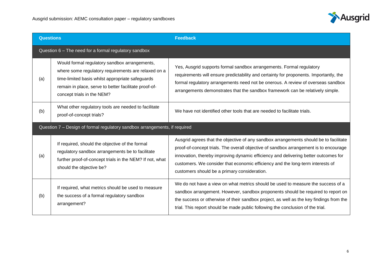

| <b>Questions</b>                                                           |                                                                                                                                                                                                                                                 | <b>Feedback</b>                                                                                                                                                                                                                                                                                                                                                                                         |  |
|----------------------------------------------------------------------------|-------------------------------------------------------------------------------------------------------------------------------------------------------------------------------------------------------------------------------------------------|---------------------------------------------------------------------------------------------------------------------------------------------------------------------------------------------------------------------------------------------------------------------------------------------------------------------------------------------------------------------------------------------------------|--|
|                                                                            | Question 6 - The need for a formal regulatory sandbox                                                                                                                                                                                           |                                                                                                                                                                                                                                                                                                                                                                                                         |  |
| (a)                                                                        | Would formal regulatory sandbox arrangements,<br>where some regulatory requirements are relaxed on a<br>time-limited basis whilst appropriate safeguards<br>remain in place, serve to better facilitate proof-of-<br>concept trials in the NEM? | Yes, Ausgrid supports formal sandbox arrangements. Formal regulatory<br>requirements will ensure predictability and certainty for proponents. Importantly, the<br>formal regulatory arrangements need not be onerous. A review of overseas sandbox<br>arrangements demonstrates that the sandbox framework can be relatively simple.                                                                    |  |
| (b)                                                                        | What other regulatory tools are needed to facilitate<br>proof-of-concept trials?                                                                                                                                                                | We have not identified other tools that are needed to facilitate trials.                                                                                                                                                                                                                                                                                                                                |  |
| Question 7 - Design of formal regulatory sandbox arrangements, if required |                                                                                                                                                                                                                                                 |                                                                                                                                                                                                                                                                                                                                                                                                         |  |
| (a)                                                                        | If required, should the objective of the formal<br>regulatory sandbox arrangements be to facilitate<br>further proof-of-concept trials in the NEM? If not, what<br>should the objective be?                                                     | Ausgrid agrees that the objective of any sandbox arrangements should be to facilitate<br>proof-of-concept trials. The overall objective of sandbox arrangement is to encourage<br>innovation, thereby improving dynamic efficiency and delivering better outcomes for<br>customers. We consider that economic efficiency and the long-term interests of<br>customers should be a primary consideration. |  |
| (b)                                                                        | If required, what metrics should be used to measure<br>the success of a formal regulatory sandbox<br>arrangement?                                                                                                                               | We do not have a view on what metrics should be used to measure the success of a<br>sandbox arrangement. However, sandbox proponents should be required to report on<br>the success or otherwise of their sandbox project, as well as the key findings from the<br>trial. This report should be made public following the conclusion of the trial.                                                      |  |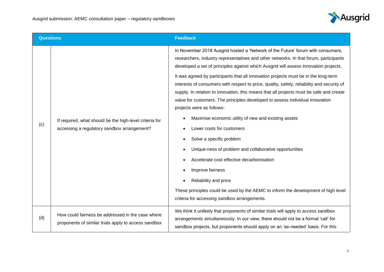

| <b>Questions</b> |                                                                                                           | <b>Feedback</b>                                                                                                                                                                                                                                                                                                                                                                                                                                                                                                                                                                                                                                                                                                                                                                                                                                                                                                                                                                                                                                                                        |
|------------------|-----------------------------------------------------------------------------------------------------------|----------------------------------------------------------------------------------------------------------------------------------------------------------------------------------------------------------------------------------------------------------------------------------------------------------------------------------------------------------------------------------------------------------------------------------------------------------------------------------------------------------------------------------------------------------------------------------------------------------------------------------------------------------------------------------------------------------------------------------------------------------------------------------------------------------------------------------------------------------------------------------------------------------------------------------------------------------------------------------------------------------------------------------------------------------------------------------------|
| (c)              | If required, what should be the high-level criteria for<br>accessing a regulatory sandbox arrangement?    | In November 2018 Ausgrid hosted a 'Network of the Future' forum with consumers,<br>researchers, industry representatives and other networks. In that forum, participants<br>developed a set of principles against which Ausgrid will assess innovation projects.<br>It was agreed by participants that all innovation projects must be in the long-term<br>interests of consumers with respect to price, quality, safety, reliability and security of<br>supply. In relation to innovation, this means that all projects must be safe and create<br>value for customers. The principles developed to assess individual innovation<br>projects were as follows:<br>Maximise economic utility of new and existing assets<br>Lower costs for customers<br>Solve a specific problem<br>Unique-ness of problem and collaborative opportunities<br>$\bullet$<br>Accelerate cost effective decarbonisation<br>Improve fairness<br>Reliability and price<br>These principles could be used by the AEMC to inform the development of high level<br>criteria for accessing sandbox arrangements. |
| (d)              | How could fairness be addressed in the case where<br>proponents of similar trials apply to access sandbox | We think it unlikely that proponents of similar trials will apply to access sandbox<br>arrangements simultaneously. In our view, there should not be a formal 'call' for<br>sandbox projects, but proponents should apply on an 'as-needed' basis. For this                                                                                                                                                                                                                                                                                                                                                                                                                                                                                                                                                                                                                                                                                                                                                                                                                            |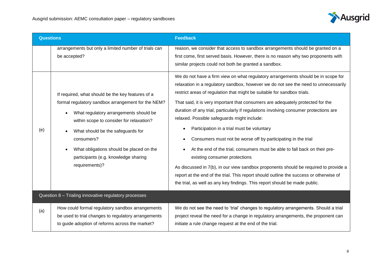

| <b>Questions</b>                                      |                                                                                                                                                                                                                                                                                                                                                        | <b>Feedback</b>                                                                                                                                                                                                                                                                                                                                                                                                                                                                                                                                                                                                                                                                                                                                                                                                                                                                                      |
|-------------------------------------------------------|--------------------------------------------------------------------------------------------------------------------------------------------------------------------------------------------------------------------------------------------------------------------------------------------------------------------------------------------------------|------------------------------------------------------------------------------------------------------------------------------------------------------------------------------------------------------------------------------------------------------------------------------------------------------------------------------------------------------------------------------------------------------------------------------------------------------------------------------------------------------------------------------------------------------------------------------------------------------------------------------------------------------------------------------------------------------------------------------------------------------------------------------------------------------------------------------------------------------------------------------------------------------|
|                                                       | arrangements but only a limited number of trials can<br>be accepted?                                                                                                                                                                                                                                                                                   | reason, we consider that access to sandbox arrangements should be granted on a<br>first come, first served basis. However, there is no reason why two proponents with<br>similar projects could not both be granted a sandbox.<br>We do not have a firm view on what regulatory arrangements should be in scope for                                                                                                                                                                                                                                                                                                                                                                                                                                                                                                                                                                                  |
| (e)                                                   | If required, what should be the key features of a<br>formal regulatory sandbox arrangement for the NEM?<br>What regulatory arrangements should be<br>within scope to consider for relaxation?<br>What should be the safeguards for<br>consumers?<br>What obligations should be placed on the<br>participants (e.g. knowledge sharing<br>requirements)? | relaxation in a regulatory sandbox, however we do not see the need to unnecessarily<br>restrict areas of regulation that might be suitable for sandbox trials.<br>That said, it is very important that consumers are adequately protected for the<br>duration of any trial, particularly if regulations involving consumer protections are<br>relaxed. Possible safeguards might include:<br>Participation in a trial must be voluntary<br>Consumers must not be worse off by participating in the trial<br>$\bullet$<br>At the end of the trial, consumers must be able to fall back on their pre-<br>existing consumer protections<br>As discussed in 7(b), in our view sandbox proponents should be required to provide a<br>report at the end of the trial. This report should outline the success or otherwise of<br>the trial, as well as any key findings. This report should be made public. |
| Question 8 - Trialing innovative regulatory processes |                                                                                                                                                                                                                                                                                                                                                        |                                                                                                                                                                                                                                                                                                                                                                                                                                                                                                                                                                                                                                                                                                                                                                                                                                                                                                      |
| (a)                                                   | How could formal regulatory sandbox arrangements<br>be used to trial changes to regulatory arrangements<br>to guide adoption of reforms across the market?                                                                                                                                                                                             | We do not see the need to 'trial' changes to regulatory arrangements. Should a trial<br>project reveal the need for a change in regulatory arrangements, the proponent can<br>initiate a rule change request at the end of the trial.                                                                                                                                                                                                                                                                                                                                                                                                                                                                                                                                                                                                                                                                |